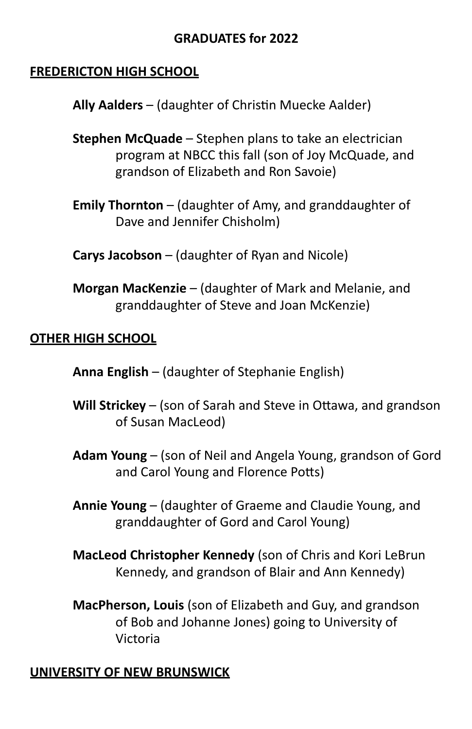## **GRADUATES for 2022**

#### **FREDERICTON HIGH SCHOOL**

**Ally Aalders** – (daughter of Christin Muecke Aalder)

- **Stephen McQuade** Stephen plans to take an electrician program at NBCC this fall (son of Joy McQuade, and grandson of Elizabeth and Ron Savoie)
- **Emily Thornton** (daughter of Amy, and granddaughter of Dave and Jennifer Chisholm)
- **Carys Jacobson** (daughter of Ryan and Nicole)
- **Morgan MacKenzie** (daughter of Mark and Melanie, and granddaughter of Steve and Joan McKenzie)

#### **OTHER HIGH SCHOOL**

**Anna English** – (daughter of Stephanie English)

- **Will Strickey** (son of Sarah and Steve in Ottawa, and grandson of Susan MacLeod)
- **Adam Young** (son of Neil and Angela Young, grandson of Gord and Carol Young and Florence Potts)
- **Annie Young** (daughter of Graeme and Claudie Young, and granddaughter of Gord and Carol Young)
- **MacLeod Christopher Kennedy** (son of Chris and Kori LeBrun Kennedy, and grandson of Blair and Ann Kennedy)
- **MacPherson, Louis** (son of Elizabeth and Guy, and grandson of Bob and Johanne Jones) going to University of Victoria

#### **UNIVERSITY OF NEW BRUNSWICK**